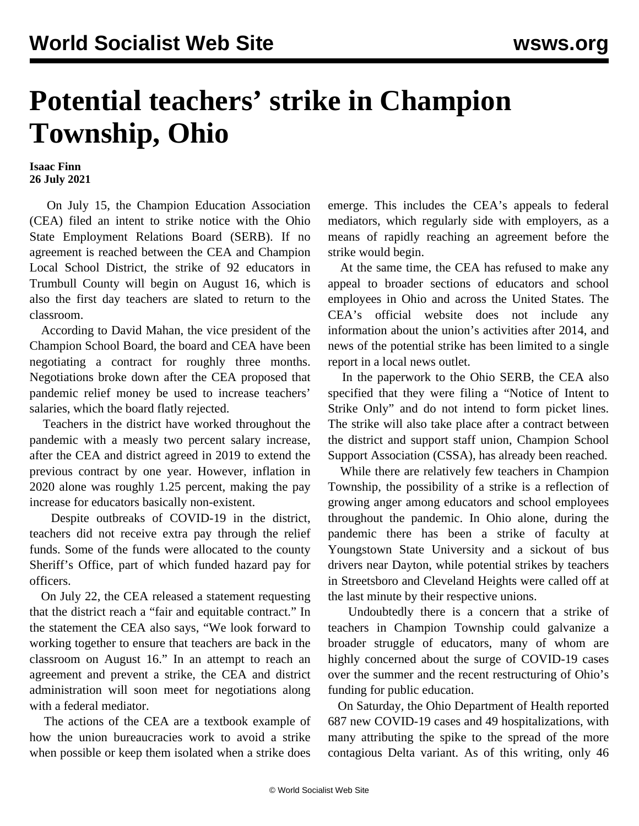## **Potential teachers' strike in Champion Township, Ohio**

**Isaac Finn 26 July 2021**

 On July 15, the Champion Education Association (CEA) filed an intent to strike notice with the Ohio State Employment Relations Board (SERB). If no agreement is reached between the CEA and Champion Local School District, the strike of 92 educators in Trumbull County will begin on August 16, which is also the first day teachers are slated to return to the classroom.

 According to David Mahan, the vice president of the Champion School Board, the board and CEA have been negotiating a contract for roughly three months. Negotiations broke down after the CEA proposed that pandemic relief money be used to increase teachers' salaries, which the board flatly rejected.

 Teachers in the district have worked throughout the pandemic with a measly two percent salary increase, after the CEA and district agreed in 2019 to extend the previous contract by one year. However, inflation in 2020 alone was roughly 1.25 percent, making the pay increase for educators basically non-existent.

 Despite outbreaks of COVID-19 in the district, teachers did not receive extra pay through the relief funds. Some of the funds were allocated to the county Sheriff's Office, part of which funded hazard pay for officers.

 On July 22, the CEA released a statement requesting that the district reach a "fair and equitable contract." In the statement the CEA also says, "We look forward to working together to ensure that teachers are back in the classroom on August 16." In an attempt to reach an agreement and prevent a strike, the CEA and district administration will soon meet for negotiations along with a federal mediator.

 The actions of the CEA are a textbook example of how the union bureaucracies work to avoid a strike when possible or keep them isolated when a strike does

emerge. This includes the CEA's appeals to federal mediators, which regularly side with employers, as a means of rapidly reaching an agreement before the strike would begin.

 At the same time, the CEA has refused to make any appeal to broader sections of educators and school employees in Ohio and across the United States. The CEA's official website does not include any information about the union's activities after 2014, and news of the potential strike has been limited to a single report in a local news outlet.

 In the paperwork to the Ohio SERB, the CEA also specified that they were filing a "Notice of Intent to Strike Only" and do not intend to form picket lines. The strike will also take place after a contract between the district and support staff union, Champion School Support Association (CSSA), has already been reached.

 While there are relatively few teachers in Champion Township, the possibility of a strike is a reflection of growing anger among educators and school employees throughout the pandemic. In Ohio alone, during the pandemic there has been a strike of faculty at Youngstown State University and a sickout of bus drivers near Dayton, while potential strikes by teachers in Streetsboro and Cleveland Heights were called off at the last minute by their respective unions.

 Undoubtedly there is a concern that a strike of teachers in Champion Township could galvanize a broader struggle of educators, many of whom are highly concerned about the surge of COVID-19 cases over the summer and the recent restructuring of Ohio's funding for public education.

 On Saturday, the Ohio Department of Health reported 687 new COVID-19 cases and 49 hospitalizations, with many attributing the spike to the spread of the more contagious Delta variant. As of this writing, only 46